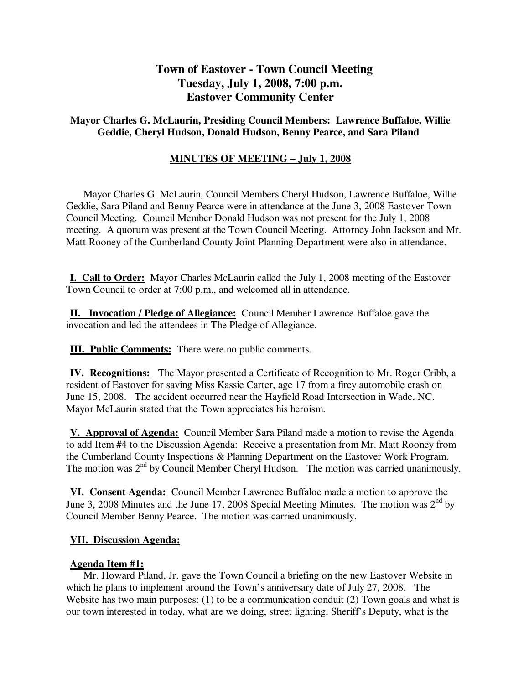# **Town of Eastover - Town Council Meeting Tuesday, July 1, 2008, 7:00 p.m. Eastover Community Center**

### **Mayor Charles G. McLaurin, Presiding Council Members: Lawrence Buffaloe, Willie Geddie, Cheryl Hudson, Donald Hudson, Benny Pearce, and Sara Piland**

## **MINUTES OF MEETING – July 1, 2008**

 Mayor Charles G. McLaurin, Council Members Cheryl Hudson, Lawrence Buffaloe, Willie Geddie, Sara Piland and Benny Pearce were in attendance at the June 3, 2008 Eastover Town Council Meeting. Council Member Donald Hudson was not present for the July 1, 2008 meeting. A quorum was present at the Town Council Meeting. Attorney John Jackson and Mr. Matt Rooney of the Cumberland County Joint Planning Department were also in attendance.

**I. Call to Order:** Mayor Charles McLaurin called the July 1, 2008 meeting of the Eastover Town Council to order at 7:00 p.m., and welcomed all in attendance.

**II. Invocation / Pledge of Allegiance:** Council Member Lawrence Buffaloe gave the invocation and led the attendees in The Pledge of Allegiance.

**III. Public Comments:** There were no public comments.

**IV. Recognitions:** The Mayor presented a Certificate of Recognition to Mr. Roger Cribb, a resident of Eastover for saving Miss Kassie Carter, age 17 from a firey automobile crash on June 15, 2008. The accident occurred near the Hayfield Road Intersection in Wade, NC. Mayor McLaurin stated that the Town appreciates his heroism.

**V. Approval of Agenda:** Council Member Sara Piland made a motion to revise the Agenda to add Item #4 to the Discussion Agenda: Receive a presentation from Mr. Matt Rooney from the Cumberland County Inspections & Planning Department on the Eastover Work Program. The motion was 2<sup>nd</sup> by Council Member Cheryl Hudson. The motion was carried unanimously.

**VI. Consent Agenda:** Council Member Lawrence Buffaloe made a motion to approve the June 3, 2008 Minutes and the June 17, 2008 Special Meeting Minutes. The motion was  $2<sup>nd</sup>$  by Council Member Benny Pearce. The motion was carried unanimously.

### **VII. Discussion Agenda:**

### **Agenda Item #1:**

Mr. Howard Piland, Jr. gave the Town Council a briefing on the new Eastover Website in which he plans to implement around the Town's anniversary date of July 27, 2008. The Website has two main purposes: (1) to be a communication conduit (2) Town goals and what is our town interested in today, what are we doing, street lighting, Sheriff's Deputy, what is the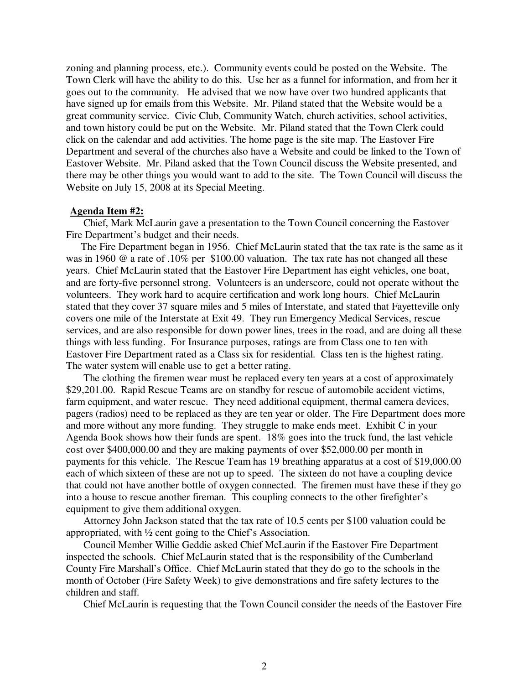zoning and planning process, etc.). Community events could be posted on the Website. The Town Clerk will have the ability to do this. Use her as a funnel for information, and from her it goes out to the community. He advised that we now have over two hundred applicants that have signed up for emails from this Website. Mr. Piland stated that the Website would be a great community service. Civic Club, Community Watch, church activities, school activities, and town history could be put on the Website. Mr. Piland stated that the Town Clerk could click on the calendar and add activities. The home page is the site map. The Eastover Fire Department and several of the churches also have a Website and could be linked to the Town of Eastover Website. Mr. Piland asked that the Town Council discuss the Website presented, and there may be other things you would want to add to the site. The Town Council will discuss the Website on July 15, 2008 at its Special Meeting.

#### **Agenda Item #2:**

Chief, Mark McLaurin gave a presentation to the Town Council concerning the Eastover Fire Department's budget and their needs.

 The Fire Department began in 1956. Chief McLaurin stated that the tax rate is the same as it was in 1960 @ a rate of .10% per \$100.00 valuation. The tax rate has not changed all these years. Chief McLaurin stated that the Eastover Fire Department has eight vehicles, one boat, and are forty-five personnel strong. Volunteers is an underscore, could not operate without the volunteers. They work hard to acquire certification and work long hours. Chief McLaurin stated that they cover 37 square miles and 5 miles of Interstate, and stated that Fayetteville only covers one mile of the Interstate at Exit 49. They run Emergency Medical Services, rescue services, and are also responsible for down power lines, trees in the road, and are doing all these things with less funding. For Insurance purposes, ratings are from Class one to ten with Eastover Fire Department rated as a Class six for residential. Class ten is the highest rating. The water system will enable use to get a better rating.

 The clothing the firemen wear must be replaced every ten years at a cost of approximately \$29,201.00. Rapid Rescue Teams are on standby for rescue of automobile accident victims, farm equipment, and water rescue. They need additional equipment, thermal camera devices, pagers (radios) need to be replaced as they are ten year or older. The Fire Department does more and more without any more funding. They struggle to make ends meet. Exhibit C in your Agenda Book shows how their funds are spent. 18% goes into the truck fund, the last vehicle cost over \$400,000.00 and they are making payments of over \$52,000.00 per month in payments for this vehicle. The Rescue Team has 19 breathing apparatus at a cost of \$19,000.00 each of which sixteen of these are not up to speed. The sixteen do not have a coupling device that could not have another bottle of oxygen connected. The firemen must have these if they go into a house to rescue another fireman. This coupling connects to the other firefighter's equipment to give them additional oxygen.

 Attorney John Jackson stated that the tax rate of 10.5 cents per \$100 valuation could be appropriated, with ½ cent going to the Chief's Association.

 Council Member Willie Geddie asked Chief McLaurin if the Eastover Fire Department inspected the schools. Chief McLaurin stated that is the responsibility of the Cumberland County Fire Marshall's Office. Chief McLaurin stated that they do go to the schools in the month of October (Fire Safety Week) to give demonstrations and fire safety lectures to the children and staff.

Chief McLaurin is requesting that the Town Council consider the needs of the Eastover Fire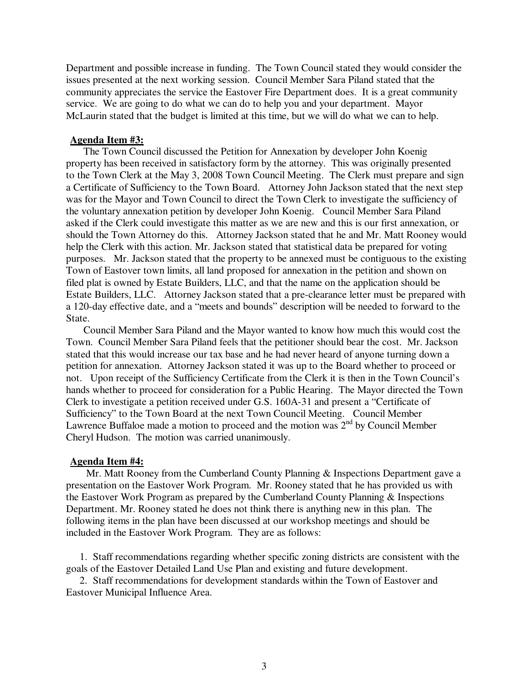Department and possible increase in funding. The Town Council stated they would consider the issues presented at the next working session. Council Member Sara Piland stated that the community appreciates the service the Eastover Fire Department does. It is a great community service. We are going to do what we can do to help you and your department. Mayor McLaurin stated that the budget is limited at this time, but we will do what we can to help.

#### **Agenda Item #3:**

The Town Council discussed the Petition for Annexation by developer John Koenig property has been received in satisfactory form by the attorney. This was originally presented to the Town Clerk at the May 3, 2008 Town Council Meeting. The Clerk must prepare and sign a Certificate of Sufficiency to the Town Board. Attorney John Jackson stated that the next step was for the Mayor and Town Council to direct the Town Clerk to investigate the sufficiency of the voluntary annexation petition by developer John Koenig. Council Member Sara Piland asked if the Clerk could investigate this matter as we are new and this is our first annexation, or should the Town Attorney do this. Attorney Jackson stated that he and Mr. Matt Rooney would help the Clerk with this action. Mr. Jackson stated that statistical data be prepared for voting purposes. Mr. Jackson stated that the property to be annexed must be contiguous to the existing Town of Eastover town limits, all land proposed for annexation in the petition and shown on filed plat is owned by Estate Builders, LLC, and that the name on the application should be Estate Builders, LLC. Attorney Jackson stated that a pre-clearance letter must be prepared with a 120-day effective date, and a "meets and bounds" description will be needed to forward to the State.

 Council Member Sara Piland and the Mayor wanted to know how much this would cost the Town. Council Member Sara Piland feels that the petitioner should bear the cost. Mr. Jackson stated that this would increase our tax base and he had never heard of anyone turning down a petition for annexation. Attorney Jackson stated it was up to the Board whether to proceed or not. Upon receipt of the Sufficiency Certificate from the Clerk it is then in the Town Council's hands whether to proceed for consideration for a Public Hearing. The Mayor directed the Town Clerk to investigate a petition received under G.S. 160A-31 and present a "Certificate of Sufficiency" to the Town Board at the next Town Council Meeting. Council Member Lawrence Buffaloe made a motion to proceed and the motion was  $2<sup>nd</sup>$  by Council Member Cheryl Hudson. The motion was carried unanimously.

#### **Agenda Item #4:**

Mr. Matt Rooney from the Cumberland County Planning & Inspections Department gave a presentation on the Eastover Work Program. Mr. Rooney stated that he has provided us with the Eastover Work Program as prepared by the Cumberland County Planning & Inspections Department. Mr. Rooney stated he does not think there is anything new in this plan. The following items in the plan have been discussed at our workshop meetings and should be included in the Eastover Work Program. They are as follows:

 1. Staff recommendations regarding whether specific zoning districts are consistent with the goals of the Eastover Detailed Land Use Plan and existing and future development.

 2. Staff recommendations for development standards within the Town of Eastover and Eastover Municipal Influence Area.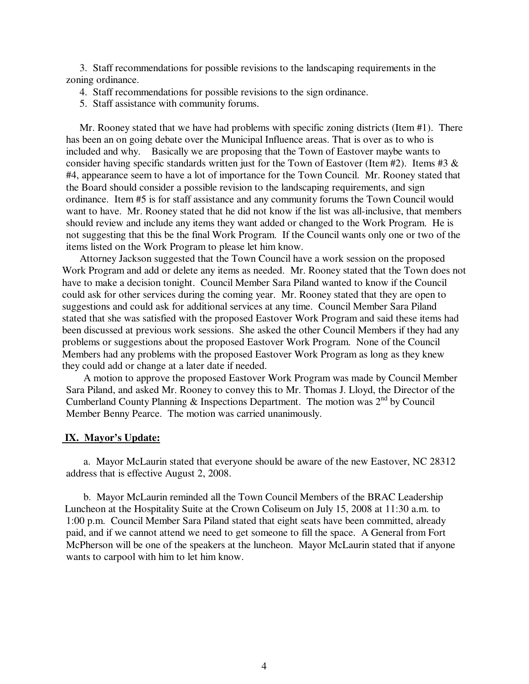3. Staff recommendations for possible revisions to the landscaping requirements in the zoning ordinance.

- 4. Staff recommendations for possible revisions to the sign ordinance.
- 5. Staff assistance with community forums.

 Mr. Rooney stated that we have had problems with specific zoning districts (Item #1). There has been an on going debate over the Municipal Influence areas. That is over as to who is included and why. Basically we are proposing that the Town of Eastover maybe wants to consider having specific standards written just for the Town of Eastover (Item #2). Items #3  $\&$ #4, appearance seem to have a lot of importance for the Town Council. Mr. Rooney stated that the Board should consider a possible revision to the landscaping requirements, and sign ordinance. Item #5 is for staff assistance and any community forums the Town Council would want to have. Mr. Rooney stated that he did not know if the list was all-inclusive, that members should review and include any items they want added or changed to the Work Program. He is not suggesting that this be the final Work Program. If the Council wants only one or two of the items listed on the Work Program to please let him know.

 Attorney Jackson suggested that the Town Council have a work session on the proposed Work Program and add or delete any items as needed. Mr. Rooney stated that the Town does not have to make a decision tonight. Council Member Sara Piland wanted to know if the Council could ask for other services during the coming year. Mr. Rooney stated that they are open to suggestions and could ask for additional services at any time. Council Member Sara Piland stated that she was satisfied with the proposed Eastover Work Program and said these items had been discussed at previous work sessions. She asked the other Council Members if they had any problems or suggestions about the proposed Eastover Work Program. None of the Council Members had any problems with the proposed Eastover Work Program as long as they knew they could add or change at a later date if needed.

 A motion to approve the proposed Eastover Work Program was made by Council Member Sara Piland, and asked Mr. Rooney to convey this to Mr. Thomas J. Lloyd, the Director of the Cumberland County Planning  $\&$  Inspections Department. The motion was  $2^{nd}$  by Council Member Benny Pearce. The motion was carried unanimously.

#### **IX. Mayor's Update:**

 a. Mayor McLaurin stated that everyone should be aware of the new Eastover, NC 28312 address that is effective August 2, 2008.

 b. Mayor McLaurin reminded all the Town Council Members of the BRAC Leadership Luncheon at the Hospitality Suite at the Crown Coliseum on July 15, 2008 at 11:30 a.m. to 1:00 p.m. Council Member Sara Piland stated that eight seats have been committed, already paid, and if we cannot attend we need to get someone to fill the space. A General from Fort McPherson will be one of the speakers at the luncheon. Mayor McLaurin stated that if anyone wants to carpool with him to let him know.